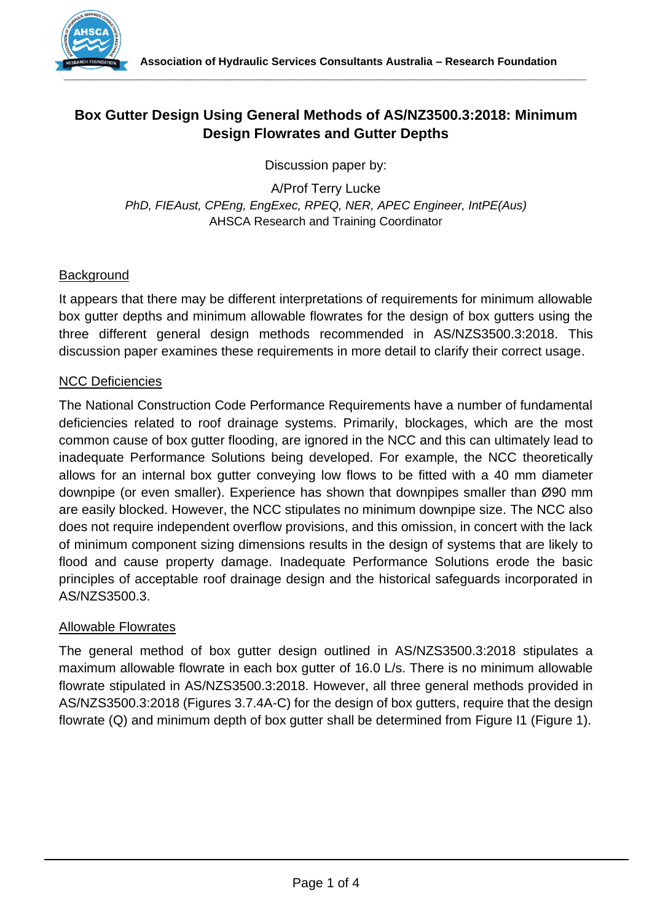

# **Box Gutter Design Using General Methods of AS/NZ3500.3:2018: Minimum Design Flowrates and Gutter Depths**

Discussion paper by:

A/Prof Terry Lucke *PhD, FIEAust, CPEng, EngExec, RPEQ, NER, APEC Engineer, IntPE(Aus)* AHSCA Research and Training Coordinator

# **Background**

It appears that there may be different interpretations of requirements for minimum allowable box gutter depths and minimum allowable flowrates for the design of box gutters using the three different general design methods recommended in AS/NZS3500.3:2018. This discussion paper examines these requirements in more detail to clarify their correct usage.

## NCC Deficiencies

The National Construction Code Performance Requirements have a number of fundamental deficiencies related to roof drainage systems. Primarily, blockages, which are the most common cause of box gutter flooding, are ignored in the NCC and this can ultimately lead to inadequate Performance Solutions being developed. For example, the NCC theoretically allows for an internal box gutter conveying low flows to be fitted with a 40 mm diameter downpipe (or even smaller). Experience has shown that downpipes smaller than Ø90 mm are easily blocked. However, the NCC stipulates no minimum downpipe size. The NCC also does not require independent overflow provisions, and this omission, in concert with the lack of minimum component sizing dimensions results in the design of systems that are likely to flood and cause property damage. Inadequate Performance Solutions erode the basic principles of acceptable roof drainage design and the historical safeguards incorporated in AS/NZS3500.3.

#### Allowable Flowrates

The general method of box gutter design outlined in AS/NZS3500.3:2018 stipulates a maximum allowable flowrate in each box gutter of 16.0 L/s. There is no minimum allowable flowrate stipulated in AS/NZS3500.3:2018. However, all three general methods provided in AS/NZS3500.3:2018 (Figures 3.7.4A-C) for the design of box gutters, require that the design flowrate (Q) and minimum depth of box gutter shall be determined from Figure I1 (Figure 1).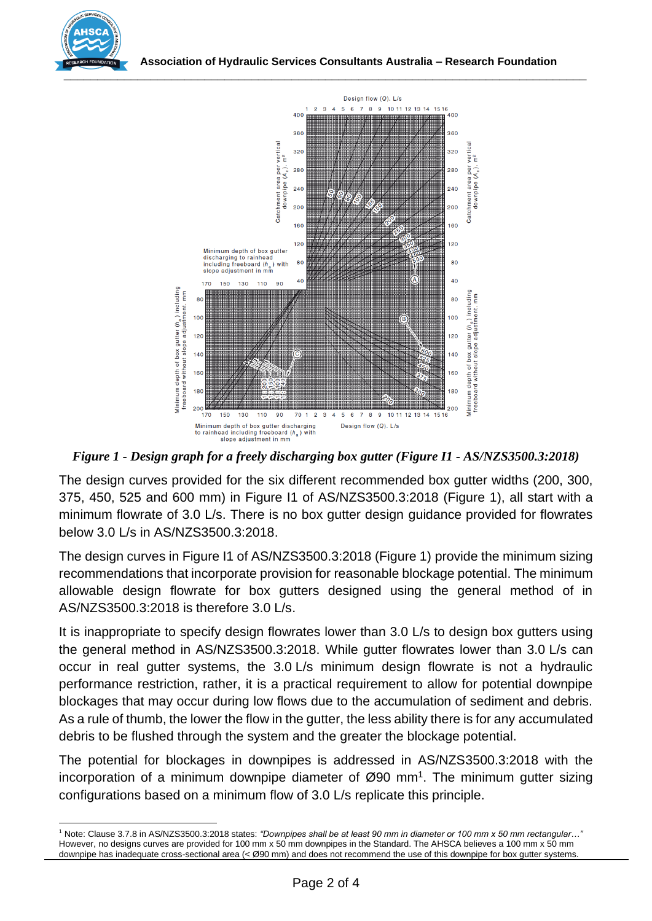



*Figure 1 - Design graph for a freely discharging box gutter (Figure I1 - AS/NZS3500.3:2018)*

The design curves provided for the six different recommended box gutter widths (200, 300, 375, 450, 525 and 600 mm) in Figure I1 of AS/NZS3500.3:2018 (Figure 1), all start with a minimum flowrate of 3.0 L/s. There is no box gutter design guidance provided for flowrates below 3.0 L/s in AS/NZS3500.3:2018.

The design curves in Figure I1 of AS/NZS3500.3:2018 (Figure 1) provide the minimum sizing recommendations that incorporate provision for reasonable blockage potential. The minimum allowable design flowrate for box gutters designed using the general method of in AS/NZS3500.3:2018 is therefore 3.0 L/s.

It is inappropriate to specify design flowrates lower than 3.0 L/s to design box gutters using the general method in AS/NZS3500.3:2018. While gutter flowrates lower than 3.0 L/s can occur in real gutter systems, the 3.0 L/s minimum design flowrate is not a hydraulic performance restriction, rather, it is a practical requirement to allow for potential downpipe blockages that may occur during low flows due to the accumulation of sediment and debris. As a rule of thumb, the lower the flow in the gutter, the less ability there is for any accumulated debris to be flushed through the system and the greater the blockage potential.

The potential for blockages in downpipes is addressed in AS/NZS3500.3:2018 with the incorporation of a minimum downpipe diameter of  $\varnothing$ 90 mm<sup>1</sup>. The minimum gutter sizing configurations based on a minimum flow of 3.0 L/s replicate this principle.

<sup>1</sup> Note: Clause 3.7.8 in AS/NZS3500.3:2018 states: *"Downpipes shall be at least 90 mm in diameter or 100 mm x 50 mm rectangular…"*  However, no designs curves are provided for 100 mm x 50 mm downpipes in the Standard. The AHSCA believes a 100 mm x 50 mm downpipe has inadequate cross-sectional area (< Ø90 mm) and does not recommend the use of this downpipe for box gutter systems.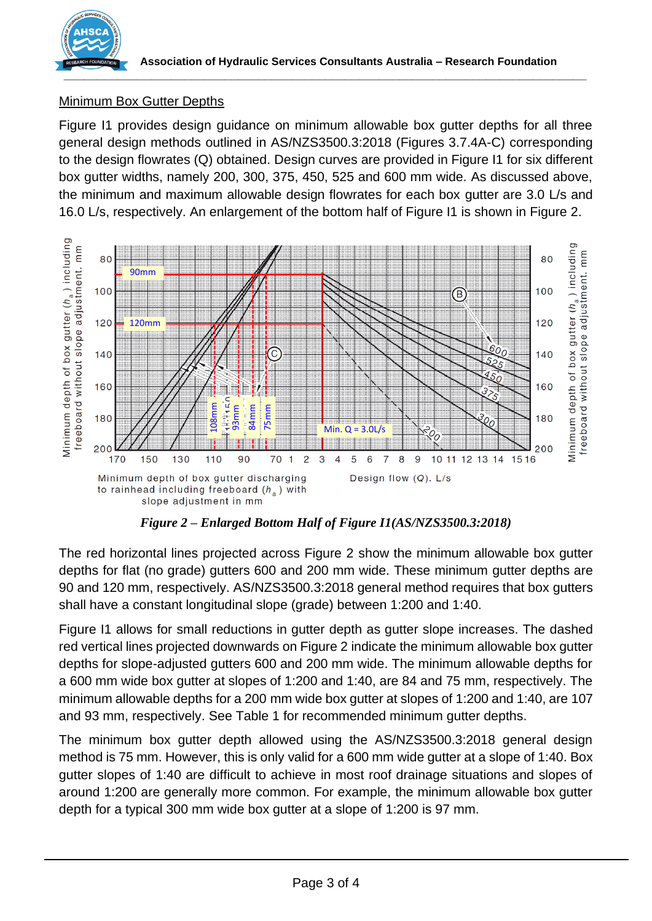

# Minimum Box Gutter Depths

Figure I1 provides design guidance on minimum allowable box gutter depths for all three general design methods outlined in AS/NZS3500.3:2018 (Figures 3.7.4A-C) corresponding to the design flowrates (Q) obtained. Design curves are provided in Figure I1 for six different box gutter widths, namely 200, 300, 375, 450, 525 and 600 mm wide. As discussed above, the minimum and maximum allowable design flowrates for each box gutter are 3.0 L/s and 16.0 L/s, respectively. An enlargement of the bottom half of Figure I1 is shown in Figure 2.



*Figure 2 – Enlarged Bottom Half of Figure I1(AS/NZS3500.3:2018)*

The red horizontal lines projected across Figure 2 show the minimum allowable box gutter depths for flat (no grade) gutters 600 and 200 mm wide. These minimum gutter depths are 90 and 120 mm, respectively. AS/NZS3500.3:2018 general method requires that box gutters shall have a constant longitudinal slope (grade) between 1:200 and 1:40.

Figure I1 allows for small reductions in gutter depth as gutter slope increases. The dashed red vertical lines projected downwards on Figure 2 indicate the minimum allowable box gutter depths for slope-adjusted gutters 600 and 200 mm wide. The minimum allowable depths for a 600 mm wide box gutter at slopes of 1:200 and 1:40, are 84 and 75 mm, respectively. The minimum allowable depths for a 200 mm wide box gutter at slopes of 1:200 and 1:40, are 107 and 93 mm, respectively. See Table 1 for recommended minimum gutter depths.

The minimum box gutter depth allowed using the AS/NZS3500.3:2018 general design method is 75 mm. However, this is only valid for a 600 mm wide gutter at a slope of 1:40. Box gutter slopes of 1:40 are difficult to achieve in most roof drainage situations and slopes of around 1:200 are generally more common. For example, the minimum allowable box gutter depth for a typical 300 mm wide box gutter at a slope of 1:200 is 97 mm.